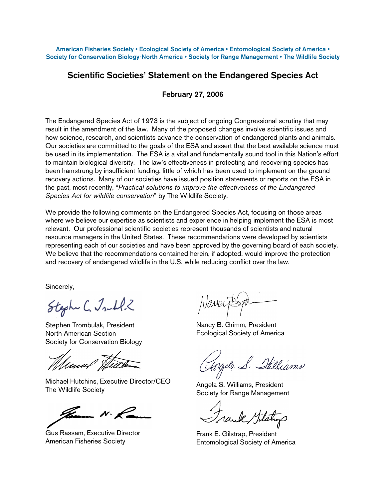American Fisheries Society • Ecological Society of America • Entomological Society of America • Society for Conservation Biology-North America • Society for Range Management • The Wildlife Society

#### Scientific Societies' Statement on the Endangered Species Act

#### February 27, 2006

The Endangered Species Act of 1973 is the subject of ongoing Congressional scrutiny that may result in the amendment of the law. Many of the proposed changes involve scientific issues and how science, research, and scientists advance the conservation of endangered plants and animals. Our societies are committed to the goals of the ESA and assert that the best available science must be used in its implementation. The ESA is a vital and fundamentally sound tool in this Nation's effort to maintain biological diversity. The law's effectiveness in protecting and recovering species has been hamstrung by insufficient funding, little of which has been used to implement on-the-ground recovery actions. Many of our societies have issued position statements or reports on the ESA in the past, most recently, "Practical solutions to improve the effectiveness of the Endangered Species Act for wildlife conservation" by The Wildlife Society.

We provide the following comments on the Endangered Species Act, focusing on those areas where we believe our expertise as scientists and experience in helping implement the ESA is most relevant. Our professional scientific societies represent thousands of scientists and natural resource managers in the United States. These recommendations were developed by scientists representing each of our societies and have been approved by the governing board of each society. We believe that the recommendations contained herein, if adopted, would improve the protection and recovery of endangered wildlife in the U.S. while reducing conflict over the law.

Sincerely,

Stephe C. Jull.2

Stephen Trombulak, President North American Section Society for Conservation Biology

Whenny Hu

Michael Hutchins, Executive Director/CEO The Wildlife Society

 $N \cdot 1$ 

Gus Rassam, Executive Director American Fisheries Society

Nancy B. Grimm, President Ecological Society of America

Angela S. Stilliams

Angela S. Williams, President Society for Range Management

Trank Gilstry

Frank E. Gilstrap, President Entomological Society of America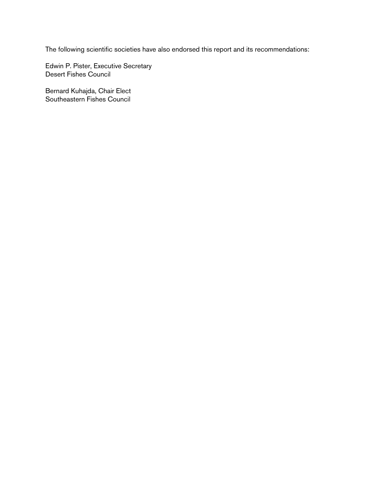The following scientific societies have also endorsed this report and its recommendations:

Edwin P. Pister, Executive Secretary Desert Fishes Council

Bernard Kuhajda, Chair Elect Southeastern Fishes Council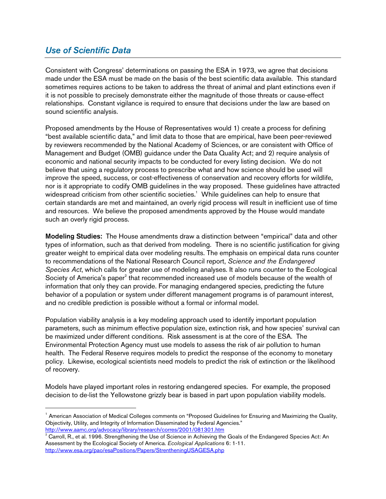### Use of Scientific Data

-

Consistent with Congress' determinations on passing the ESA in 1973, we agree that decisions made under the ESA must be made on the basis of the best scientific data available. This standard sometimes requires actions to be taken to address the threat of animal and plant extinctions even if it is not possible to precisely demonstrate either the magnitude of those threats or cause-effect relationships. Constant vigilance is required to ensure that decisions under the law are based on sound scientific analysis.

Proposed amendments by the House of Representatives would 1) create a process for defining "best available scientific data," and limit data to those that are empirical, have been peer-reviewed by reviewers recommended by the National Academy of Sciences, or are consistent with Office of Management and Budget (OMB) guidance under the Data Quality Act; and 2) require analysis of economic and national security impacts to be conducted for every listing decision. We do not believe that using a regulatory process to prescribe what and how science should be used will improve the speed, success, or cost-effectiveness of conservation and recovery efforts for wildlife, nor is it appropriate to codify OMB guidelines in the way proposed. These guidelines have attracted widespread criticism from other scientific societies. <sup>1</sup> While guidelines can help to ensure that certain standards are met and maintained, an overly rigid process will result in inefficient use of time and resources. We believe the proposed amendments approved by the House would mandate such an overly rigid process.

Modeling Studies: The House amendments draw a distinction between "empirical" data and other types of information, such as that derived from modeling. There is no scientific justification for giving greater weight to empirical data over modeling results. The emphasis on empirical data runs counter to recommendations of the National Research Council report, Science and the Endangered Species Act, which calls for greater use of modeling analyses. It also runs counter to the Ecological Society of America's paper<sup>2</sup> that recommended increased use of models because of the wealth of information that only they can provide. For managing endangered species, predicting the future behavior of a population or system under different management programs is of paramount interest, and no credible prediction is possible without a formal or informal model.

Population viability analysis is a key modeling approach used to identify important population parameters, such as minimum effective population size, extinction risk, and how species' survival can be maximized under different conditions. Risk assessment is at the core of the ESA. The Environmental Protection Agency must use models to assess the risk of air pollution to human health. The Federal Reserve requires models to predict the response of the economy to monetary policy. Likewise, ecological scientists need models to predict the risk of extinction or the likelihood of recovery.

Models have played important roles in restoring endangered species. For example, the proposed decision to de-list the Yellowstone grizzly bear is based in part upon population viability models.

<sup>&</sup>lt;sup>1</sup> American Association of Medical Colleges comments on "Proposed Guidelines for Ensuring and Maximizing the Quality, Objectivity, Utility, and Integrity of Information Disseminated by Federal Agencies." http://www.aamc.org/advocacy/library/research/corres/2001/081301.htm

 $2$  Carroll, R., et al. 1996. Strengthening the Use of Science in Achieving the Goals of the Endangered Species Act: An Assessment by the Ecological Society of America. Ecological Applications 6: 1-11. http://www.esa.org/pao/esaPositions/Papers/StrentheningUSAGESA.php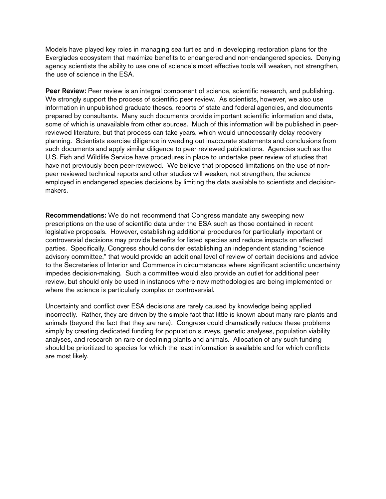Models have played key roles in managing sea turtles and in developing restoration plans for the Everglades ecosystem that maximize benefits to endangered and non-endangered species. Denying agency scientists the ability to use one of science's most effective tools will weaken, not strengthen, the use of science in the ESA.

Peer Review: Peer review is an integral component of science, scientific research, and publishing. We strongly support the process of scientific peer review. As scientists, however, we also use information in unpublished graduate theses, reports of state and federal agencies, and documents prepared by consultants. Many such documents provide important scientific information and data, some of which is unavailable from other sources. Much of this information will be published in peerreviewed literature, but that process can take years, which would unnecessarily delay recovery planning. Scientists exercise diligence in weeding out inaccurate statements and conclusions from such documents and apply similar diligence to peer-reviewed publications. Agencies such as the U.S. Fish and Wildlife Service have procedures in place to undertake peer review of studies that have not previously been peer-reviewed. We believe that proposed limitations on the use of nonpeer-reviewed technical reports and other studies will weaken, not strengthen, the science employed in endangered species decisions by limiting the data available to scientists and decisionmakers.

Recommendations: We do not recommend that Congress mandate any sweeping new prescriptions on the use of scientific data under the ESA such as those contained in recent legislative proposals. However, establishing additional procedures for particularly important or controversial decisions may provide benefits for listed species and reduce impacts on affected parties. Specifically, Congress should consider establishing an independent standing "science advisory committee," that would provide an additional level of review of certain decisions and advice to the Secretaries of Interior and Commerce in circumstances where significant scientific uncertainty impedes decision-making. Such a committee would also provide an outlet for additional peer review, but should only be used in instances where new methodologies are being implemented or where the science is particularly complex or controversial.

Uncertainty and conflict over ESA decisions are rarely caused by knowledge being applied incorrectly. Rather, they are driven by the simple fact that little is known about many rare plants and animals (beyond the fact that they are rare). Congress could dramatically reduce these problems simply by creating dedicated funding for population surveys, genetic analyses, population viability analyses, and research on rare or declining plants and animals. Allocation of any such funding should be prioritized to species for which the least information is available and for which conflicts are most likely.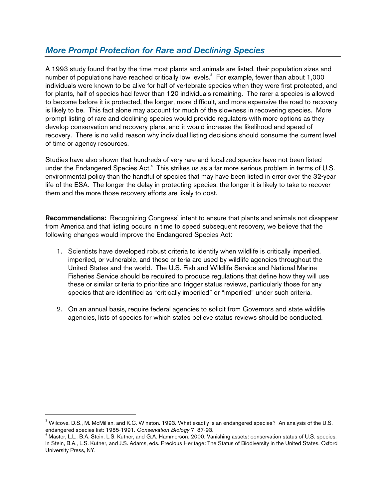### More Prompt Protection for Rare and Declining Species

A 1993 study found that by the time most plants and animals are listed, their population sizes and number of populations have reached critically low levels.<sup>3</sup> For example, fewer than about 1,000 individuals were known to be alive for half of vertebrate species when they were first protected, and for plants, half of species had fewer than 120 individuals remaining. The rarer a species is allowed to become before it is protected, the longer, more difficult, and more expensive the road to recovery is likely to be. This fact alone may account for much of the slowness in recovering species. More prompt listing of rare and declining species would provide regulators with more options as they develop conservation and recovery plans, and it would increase the likelihood and speed of recovery. There is no valid reason why individual listing decisions should consume the current level of time or agency resources.

Studies have also shown that hundreds of very rare and localized species have not been listed under the Endangered Species Act.<sup>4</sup> This strikes us as a far more serious problem in terms of U.S. environmental policy than the handful of species that may have been listed in error over the 32-year life of the ESA. The longer the delay in protecting species, the longer it is likely to take to recover them and the more those recovery efforts are likely to cost.

Recommendations: Recognizing Congress' intent to ensure that plants and animals not disappear from America and that listing occurs in time to speed subsequent recovery, we believe that the following changes would improve the Endangered Species Act:

- 1. Scientists have developed robust criteria to identify when wildlife is critically imperiled, imperiled, or vulnerable, and these criteria are used by wildlife agencies throughout the United States and the world. The U.S. Fish and Wildlife Service and National Marine Fisheries Service should be required to produce regulations that define how they will use these or similar criteria to prioritize and trigger status reviews, particularly those for any species that are identified as "critically imperiled" or "imperiled" under such criteria.
- 2. On an annual basis, require federal agencies to solicit from Governors and state wildlife agencies, lists of species for which states believe status reviews should be conducted.

-

<sup>&</sup>lt;sup>3</sup> Wilcove, D.S., M. McMillan, and K.C. Winston. 1993. What exactly is an endangered species? An analysis of the U.S. endangered species list: 1985-1991. Conservation Biology 7: 87-93.

<sup>4</sup> Master, L.L., B.A. Stein, L.S. Kutner, and G.A. Hammerson. 2000. Vanishing assets: conservation status of U.S. species. In Stein, B.A., L.S. Kutner, and J.S. Adams, eds. Precious Heritage: The Status of Biodiversity in the United States. Oxford University Press, NY.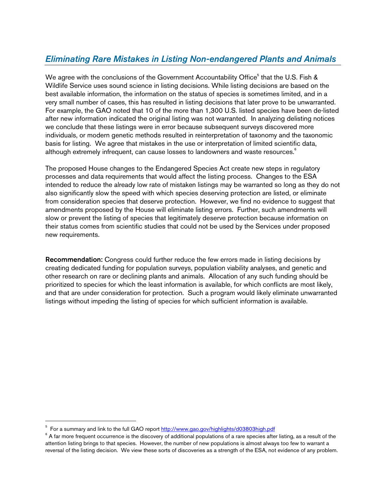# Eliminating Rare Mistakes in Listing Non-endangered Plants and Animals

We agree with the conclusions of the Government Accountability Office<sup>5</sup> that the U.S. Fish & Wildlife Service uses sound science in listing decisions. While listing decisions are based on the best available information, the information on the status of species is sometimes limited, and in a very small number of cases, this has resulted in listing decisions that later prove to be unwarranted. For example, the GAO noted that 10 of the more than 1,300 U.S. listed species have been de-listed after new information indicated the original listing was not warranted. In analyzing delisting notices we conclude that these listings were in error because subsequent surveys discovered more individuals, or modern genetic methods resulted in reinterpretation of taxonomy and the taxonomic basis for listing. We agree that mistakes in the use or interpretation of limited scientific data, although extremely infrequent, can cause losses to landowners and waste resources. 6

The proposed House changes to the Endangered Species Act create new steps in regulatory processes and data requirements that would affect the listing process. Changes to the ESA intended to reduce the already low rate of mistaken listings may be warranted so long as they do not also significantly slow the speed with which species deserving protection are listed, or eliminate from consideration species that deserve protection. However, we find no evidence to suggest that amendments proposed by the House will eliminate listing errors. Further, such amendments will slow or prevent the listing of species that legitimately deserve protection because information on their status comes from scientific studies that could not be used by the Services under proposed new requirements.

Recommendation: Congress could further reduce the few errors made in listing decisions by creating dedicated funding for population surveys, population viability analyses, and genetic and other research on rare or declining plants and animals. Allocation of any such funding should be prioritized to species for which the least information is available, for which conflicts are most likely, and that are under consideration for protection. Such a program would likely eliminate unwarranted listings without impeding the listing of species for which sufficient information is available.

-

<sup>&</sup>lt;sup>5</sup> For a summary and link to the full GAO report http://www.gao.gov/highlights/d03803high.pdf

 $^6$  A far more frequent occurrence is the discovery of additional populations of a rare species after listing, as a result of the attention listing brings to that species. However, the number of new populations is almost always too few to warrant a reversal of the listing decision. We view these sorts of discoveries as a strength of the ESA, not evidence of any problem.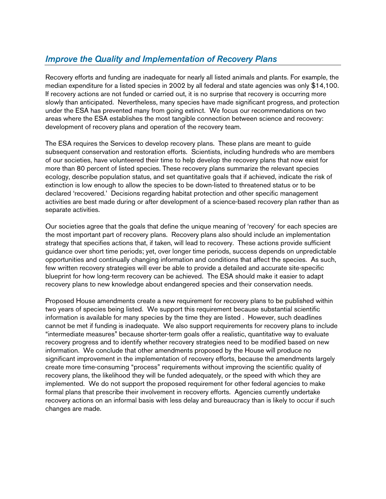# Improve the Quality and Implementation of Recovery Plans

Recovery efforts and funding are inadequate for nearly all listed animals and plants. For example, the median expenditure for a listed species in 2002 by all federal and state agencies was only \$14,100. If recovery actions are not funded or carried out, it is no surprise that recovery is occurring more slowly than anticipated. Nevertheless, many species have made significant progress, and protection under the ESA has prevented many from going extinct. We focus our recommendations on two areas where the ESA establishes the most tangible connection between science and recovery: development of recovery plans and operation of the recovery team.

The ESA requires the Services to develop recovery plans. These plans are meant to guide subsequent conservation and restoration efforts. Scientists, including hundreds who are members of our societies, have volunteered their time to help develop the recovery plans that now exist for more than 80 percent of listed species. These recovery plans summarize the relevant species ecology, describe population status, and set quantitative goals that if achieved, indicate the risk of extinction is low enough to allow the species to be down-listed to threatened status or to be declared 'recovered.' Decisions regarding habitat protection and other specific management activities are best made during or after development of a science-based recovery plan rather than as separate activities.

Our societies agree that the goals that define the unique meaning of 'recovery' for each species are the most important part of recovery plans. Recovery plans also should include an implementation strategy that specifies actions that, if taken, will lead to recovery. These actions provide sufficient guidance over short time periods; yet, over longer time periods, success depends on unpredictable opportunities and continually changing information and conditions that affect the species. As such, few written recovery strategies will ever be able to provide a detailed and accurate site-specific blueprint for how long-term recovery can be achieved. The ESA should make it easier to adapt recovery plans to new knowledge about endangered species and their conservation needs.

Proposed House amendments create a new requirement for recovery plans to be published within two years of species being listed. We support this requirement because substantial scientific information is available for many species by the time they are listed . However, such deadlines cannot be met if funding is inadequate. We also support requirements for recovery plans to include "intermediate measures" because shorter-term goals offer a realistic, quantitative way to evaluate recovery progress and to identify whether recovery strategies need to be modified based on new information. We conclude that other amendments proposed by the House will produce no significant improvement in the implementation of recovery efforts, because the amendments largely create more time-consuming "process" requirements without improving the scientific quality of recovery plans, the likelihood they will be funded adequately, or the speed with which they are implemented. We do not support the proposed requirement for other federal agencies to make formal plans that prescribe their involvement in recovery efforts. Agencies currently undertake recovery actions on an informal basis with less delay and bureaucracy than is likely to occur if such changes are made.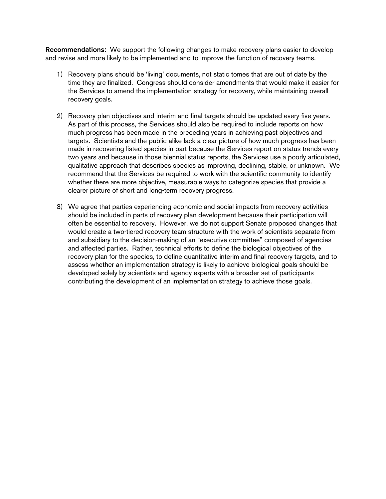Recommendations: We support the following changes to make recovery plans easier to develop and revise and more likely to be implemented and to improve the function of recovery teams.

- 1) Recovery plans should be 'living' documents, not static tomes that are out of date by the time they are finalized. Congress should consider amendments that would make it easier for the Services to amend the implementation strategy for recovery, while maintaining overall recovery goals.
- 2) Recovery plan objectives and interim and final targets should be updated every five years. As part of this process, the Services should also be required to include reports on how much progress has been made in the preceding years in achieving past objectives and targets. Scientists and the public alike lack a clear picture of how much progress has been made in recovering listed species in part because the Services report on status trends every two years and because in those biennial status reports, the Services use a poorly articulated, qualitative approach that describes species as improving, declining, stable, or unknown. We recommend that the Services be required to work with the scientific community to identify whether there are more objective, measurable ways to categorize species that provide a clearer picture of short and long-term recovery progress.
- 3) We agree that parties experiencing economic and social impacts from recovery activities should be included in parts of recovery plan development because their participation will often be essential to recovery. However, we do not support Senate proposed changes that would create a two-tiered recovery team structure with the work of scientists separate from and subsidiary to the decision-making of an "executive committee" composed of agencies and affected parties. Rather, technical efforts to define the biological objectives of the recovery plan for the species, to define quantitative interim and final recovery targets, and to assess whether an implementation strategy is likely to achieve biological goals should be developed solely by scientists and agency experts with a broader set of participants contributing the development of an implementation strategy to achieve those goals.